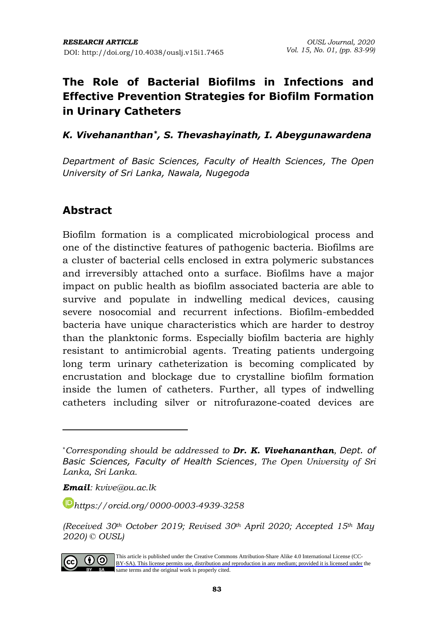### *K. Vivehananthan\*, S. Thevashayinath, I. Abeygunawardena*

*Department of Basic Sciences, Faculty of Health Sciences, The Open University of Sri Lanka, Nawala, Nugegoda*

## **Abstract**

Biofilm formation is a complicated microbiological process and one of the distinctive features of pathogenic bacteria. Biofilms are a cluster of bacterial cells enclosed in extra polymeric substances and irreversibly attached onto a surface. Biofilms have a major impact on public health as biofilm associated bacteria are able to survive and populate in indwelling medical devices, causing severe nosocomial and recurrent infections. Biofilm-embedded bacteria have unique characteristics which are harder to destroy than the planktonic forms. Especially biofilm bacteria are highly resistant to antimicrobial agents. Treating patients undergoing long term urinary catheterization is becoming complicated by encrustation and blockage due to crystalline biofilm formation inside the lumen of catheters. Further, all types of indwelling catheters including silver or nitrofurazone‐coated devices are

*Email: kvive@ou.ac.lk*

*[https://orcid.org/0](https://orcid.org/)000-0003-4939-3258*

*<sup>(</sup>Received 30th October 2019; Revised 30th April 2020; Accepted 15th May 2020) © OUSL)* 



[This article is published under the Creative Commons Attribution-Share Alike 4.0 International License \(CC-](https://creativecommons.org/licenses/by-sa/4.0/)BY-SA). This license permits use, distribution and reproduction in any medium; provided it is licensed under the BY SA same terms and the original work is properly cited.

<sup>\*</sup>*Corresponding should be addressed to Dr. K. Vivehananthan, Dept. of Basic Sciences, Faculty of Health Sciences, The Open University of Sri Lanka, Sri Lanka.*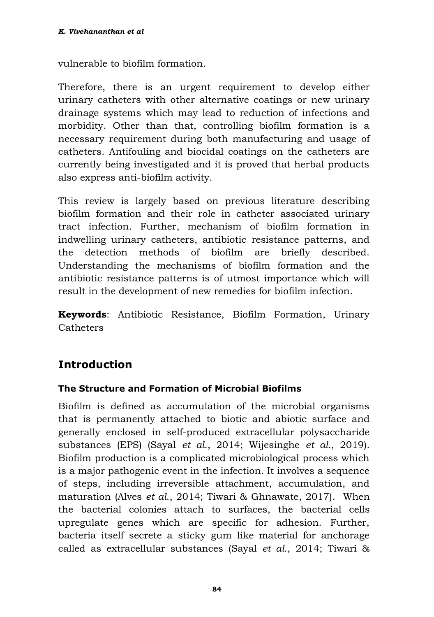vulnerable to biofilm formation.

Therefore, there is an urgent requirement to develop either urinary catheters with other alternative coatings or new urinary drainage systems which may lead to reduction of infections and morbidity. Other than that, controlling biofilm formation is a necessary requirement during both manufacturing and usage of catheters. Antifouling and biocidal coatings on the catheters are currently being investigated and it is proved that herbal products also express anti-biofilm activity.

This review is largely based on previous literature describing biofilm formation and their role in catheter associated urinary tract infection. Further, mechanism of biofilm formation in indwelling urinary catheters, antibiotic resistance patterns, and the detection methods of biofilm are briefly described. Understanding the mechanisms of biofilm formation and the antibiotic resistance patterns is of utmost importance which will result in the development of new remedies for biofilm infection.

**Keywords**: Antibiotic Resistance, Biofilm Formation, Urinary **Catheters** 

# **Introduction**

### **The Structure and Formation of Microbial Biofilms**

Biofilm is defined as accumulation of the microbial organisms that is permanently attached to biotic and abiotic surface and generally enclosed in self-produced extracellular polysaccharide substances (EPS) (Sayal *et al*., 2014; Wijesinghe *et al*., 2019). Biofilm production is a complicated microbiological process which is a major pathogenic event in the infection. It involves a sequence of steps, including irreversible attachment, accumulation, and maturation (Alves *et al*., 2014; Tiwari & Ghnawate, 2017). When the bacterial colonies attach to surfaces, the bacterial cells upregulate genes which are specific for adhesion. Further, bacteria itself secrete a sticky gum like material for anchorage called as extracellular substances (Sayal *et al*., 2014; Tiwari &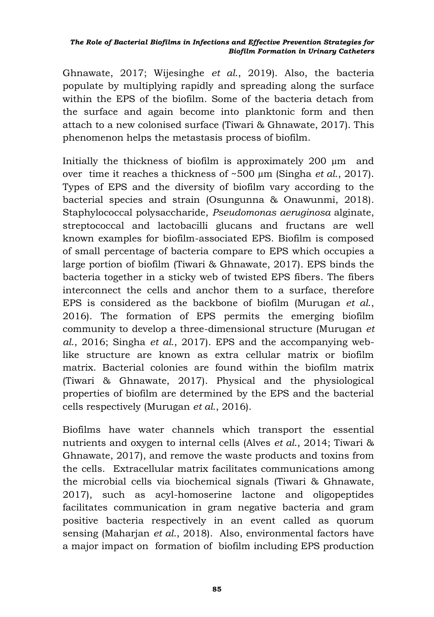Ghnawate, 2017; Wijesinghe *et al*., 2019). Also, the bacteria populate by multiplying rapidly and spreading along the surface within the EPS of the biofilm. Some of the bacteria detach from the surface and again become into planktonic form and then attach to a new colonised surface (Tiwari & Ghnawate, 2017). This phenomenon helps the metastasis process of biofilm.

Initially the thickness of biofilm is approximately 200 µm and over time it reaches a thickness of ~500 µm (Singha *et al*., 2017). Types of EPS and the diversity of biofilm vary according to the bacterial species and strain (Osungunna & Onawunmi, 2018). Staphylococcal polysaccharide, *Pseudomonas aeruginosa* alginate, streptococcal and lactobacilli glucans and fructans are well known examples for biofilm-associated EPS. Biofilm is composed of small percentage of bacteria compare to EPS which occupies a large portion of biofilm (Tiwari & Ghnawate, 2017). EPS binds the bacteria together in a sticky web of twisted EPS fibers. The fibers interconnect the cells and anchor them to a surface, therefore EPS is considered as the backbone of biofilm (Murugan *et al*., 2016). The formation of EPS permits the emerging biofilm community to develop a three-dimensional structure (Murugan *et al*., 2016; Singha *et al*., 2017). EPS and the accompanying weblike structure are known as extra cellular matrix or biofilm matrix. Bacterial colonies are found within the biofilm matrix (Tiwari & Ghnawate, 2017). Physical and the physiological properties of biofilm are determined by the EPS and the bacterial cells respectively (Murugan *et al*., 2016).

Biofilms have water channels which transport the essential nutrients and oxygen to internal cells (Alves *et al*., 2014; Tiwari & Ghnawate, 2017), and remove the waste products and toxins from the cells. Extracellular matrix facilitates communications among the microbial cells via biochemical signals (Tiwari & Ghnawate, 2017), such as acyl-homoserine lactone and oligopeptides facilitates communication in gram negative bacteria and gram positive bacteria respectively in an event called as quorum sensing (Maharjan *et al*., 2018). Also, environmental factors have a major impact on formation of biofilm including EPS production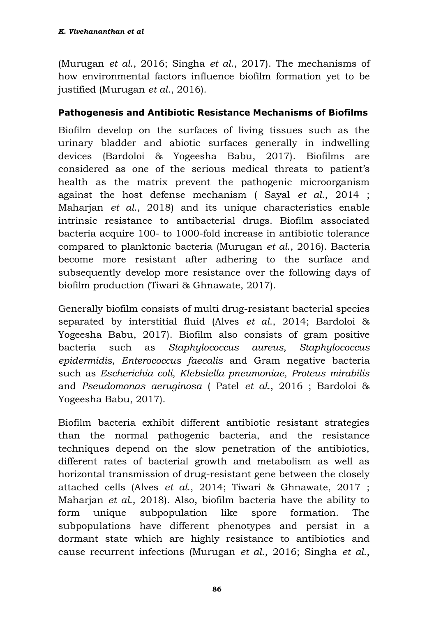(Murugan *et al*., 2016; Singha *et al*., 2017). The mechanisms of how environmental factors influence biofilm formation yet to be justified (Murugan *et al*., 2016).

#### **Pathogenesis and Antibiotic Resistance Mechanisms of Biofilms**

Biofilm develop on the surfaces of living tissues such as the urinary bladder and abiotic surfaces generally in indwelling devices (Bardoloi & Yogeesha Babu, 2017). Biofilms are considered as one of the serious medical threats to patient's health as the matrix prevent the pathogenic microorganism against the host defense mechanism ( Sayal *et al*., 2014 ; Maharjan *et al*., 2018) and its unique characteristics enable intrinsic resistance to antibacterial drugs. Biofilm associated bacteria acquire 100- to 1000-fold increase in antibiotic tolerance compared to planktonic bacteria (Murugan *et al*., 2016). Bacteria become more resistant after adhering to the surface and subsequently develop more resistance over the following days of biofilm production (Tiwari & Ghnawate, 2017).

Generally biofilm consists of multi drug-resistant bacterial species separated by interstitial fluid (Alves *et al*., 2014; Bardoloi & Yogeesha Babu, 2017). Biofilm also consists of gram positive bacteria such as *Staphylococcus aureus, Staphylococcus epidermidis, Enterococcus faecalis* and Gram negative bacteria such as *Escherichia coli, Klebsiella pneumoniae, Proteus mirabilis*  and *Pseudomonas aeruginosa* ( Patel *et al*., 2016 ; Bardoloi & Yogeesha Babu, 2017).

Biofilm bacteria exhibit different antibiotic resistant strategies than the normal pathogenic bacteria, and the resistance techniques depend on the slow penetration of the antibiotics, different rates of bacterial growth and metabolism as well as horizontal transmission of drug-resistant gene between the closely attached cells (Alves *et al*., 2014; Tiwari & Ghnawate, 2017 ; Maharjan *et al*., 2018). Also, biofilm bacteria have the ability to form unique subpopulation like spore formation. The subpopulations have different phenotypes and persist in a dormant state which are highly resistance to antibiotics and cause recurrent infections (Murugan *et al*., 2016; Singha *et al*.,

**86**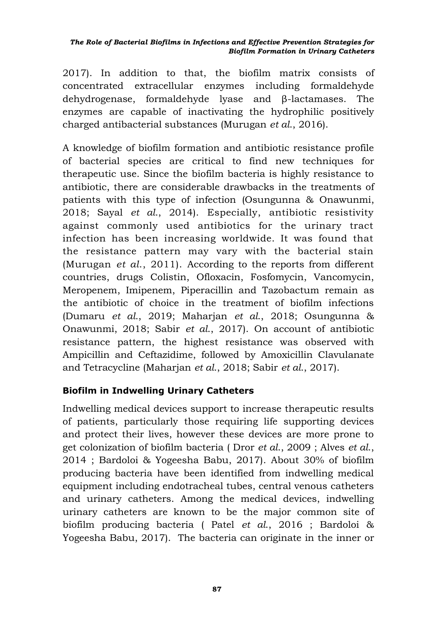2017). In addition to that, the biofilm matrix consists of concentrated extracellular enzymes including formaldehyde dehydrogenase, formaldehyde lyase and β-lactamases. The enzymes are capable of inactivating the hydrophilic positively charged antibacterial substances (Murugan *et al*., 2016).

A knowledge of biofilm formation and antibiotic resistance profile of bacterial species are critical to find new techniques for therapeutic use. Since the biofilm bacteria is highly resistance to antibiotic, there are considerable drawbacks in the treatments of patients with this type of infection (Osungunna & Onawunmi, 2018; Sayal *et al*., 2014). Especially, antibiotic resistivity against commonly used antibiotics for the urinary tract infection has been increasing worldwide. It was found that the resistance pattern may vary with the bacterial stain (Murugan *et al*., 2011). According to the reports from different countries, drugs Colistin, Ofloxacin, Fosfomycin, Vancomycin, Meropenem, Imipenem, Piperacillin and Tazobactum remain as the antibiotic of choice in the treatment of biofilm infections (Dumaru *et al*., 2019; Maharjan *et al*., 2018; Osungunna & Onawunmi, 2018; Sabir *et al*., 2017). On account of antibiotic resistance pattern, the highest resistance was observed with Ampicillin and Ceftazidime, followed by Amoxicillin Clavulanate and Tetracycline (Maharjan *et al*., 2018; Sabir *et al*., 2017).

#### **Biofilm in Indwelling Urinary Catheters**

Indwelling medical devices support to increase therapeutic results of patients, particularly those requiring life supporting devices and protect their lives, however these devices are more prone to get colonization of biofilm bacteria ( Dror *et al*., 2009 ; Alves *et al*., 2014 ; Bardoloi & Yogeesha Babu, 2017). About 30% of biofilm producing bacteria have been identified from indwelling medical equipment including endotracheal tubes, central venous catheters and urinary catheters. Among the medical devices, indwelling urinary catheters are known to be the major common site of biofilm producing bacteria ( Patel *et al*., 2016 ; Bardoloi & Yogeesha Babu, 2017). The bacteria can originate in the inner or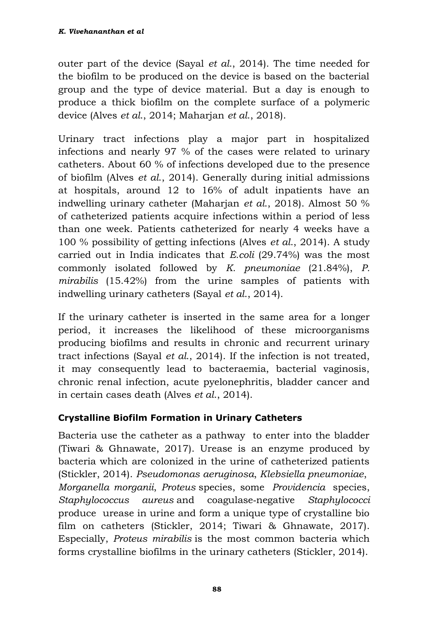outer part of the device (Sayal *et al*., 2014). The time needed for the biofilm to be produced on the device is based on the bacterial group and the type of device material. But a day is enough to produce a thick biofilm on the complete surface of a polymeric device (Alves *et al*., 2014; Maharjan *et al*., 2018).

Urinary tract infections play a major part in hospitalized infections and nearly 97 % of the cases were related to urinary catheters. About 60 % of infections developed due to the presence of biofilm (Alves *et al*., 2014). Generally during initial admissions at hospitals, around 12 to 16% of adult inpatients have an indwelling urinary catheter (Maharjan *et al*., 2018). Almost 50 % of catheterized patients acquire infections within a period of less than one week. Patients catheterized for nearly 4 weeks have a 100 % possibility of getting infections (Alves *et al*., 2014). A study carried out in India indicates that *E.coli* (29.74%) was the most commonly isolated followed by *K. pneumoniae* (21.84%), *P. mirabilis* (15.42%) from the urine samples of patients with indwelling urinary catheters (Sayal *et al*., 2014).

If the urinary catheter is inserted in the same area for a longer period, it increases the likelihood of these microorganisms producing biofilms and results in chronic and recurrent urinary tract infections (Sayal *et al*., 2014). If the infection is not treated, it may consequently lead to bacteraemia, bacterial vaginosis, chronic renal infection, acute pyelonephritis, bladder cancer and in certain cases death (Alves *et al*., 2014).

## **Crystalline Biofilm Formation in Urinary Catheters**

Bacteria use the catheter as a pathway to enter into the bladder (Tiwari & Ghnawate, 2017). Urease is an enzyme produced by bacteria which are colonized in the urine of catheterized patients (Stickler, 2014). *Pseudomonas aeruginosa*, *Klebsiella pneumoniae*, *Morganella morganii*, *Proteus* species, some *Providencia* species, *Staphylococcus aureus* and coagulase‐negative *Staphylococci* produce urease in urine and form a unique type of crystalline bio film on catheters (Stickler, 2014; Tiwari & Ghnawate, 2017). Especially, *Proteus mirabilis* is the most common bacteria which forms crystalline biofilms in the urinary catheters (Stickler, 2014).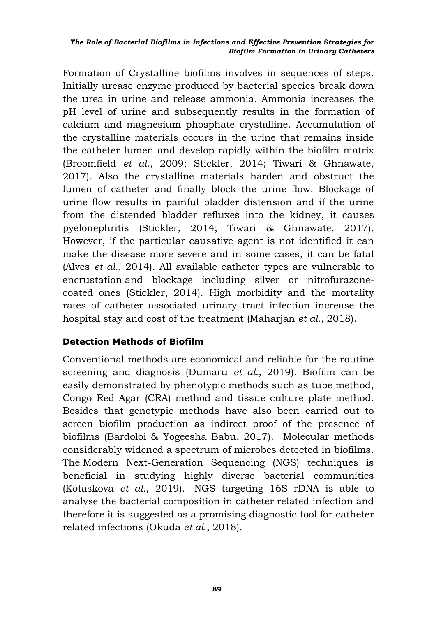Formation of Crystalline biofilms involves in sequences of steps. Initially urease enzyme produced by bacterial species break down the urea in urine and release ammonia. Ammonia increases the pH level of urine and subsequently results in the formation of calcium and magnesium phosphate crystalline. Accumulation of the crystalline materials occurs in the urine that remains inside the catheter lumen and develop rapidly within the biofilm matrix (Broomfield *et al*., 2009; Stickler, 2014; Tiwari & Ghnawate, 2017). Also the crystalline materials harden and obstruct the lumen of catheter and finally block the urine flow. Blockage of urine flow results in painful bladder distension and if the urine from the distended bladder refluxes into the kidney, it causes pyelonephritis (Stickler, 2014; Tiwari & Ghnawate, 2017). However, if the particular causative agent is not identified it can make the disease more severe and in some cases, it can be fatal (Alves *et al*., 2014). All available catheter types are vulnerable to encrustation and blockage including silver or nitrofurazonecoated ones (Stickler, 2014). High morbidity and the mortality rates of catheter associated urinary tract infection increase the hospital stay and cost of the treatment (Maharjan *et al*., 2018).

### **Detection Methods of Biofilm**

Conventional methods are economical and reliable for the routine screening and diagnosis (Dumaru *et al*., 2019). Biofilm can be easily demonstrated by phenotypic methods such as tube method, Congo Red Agar (CRA) method and tissue culture plate method. Besides that genotypic methods have also been carried out to screen biofilm production as indirect proof of the presence of biofilms (Bardoloi & Yogeesha Babu, 2017). Molecular methods considerably widened a spectrum of microbes detected in biofilms. The Modern Next-Generation Sequencing (NGS) techniques is beneficial in studying highly diverse bacterial communities (Kotaskova *et al*., 2019). NGS targeting 16S rDNA is able to analyse the bacterial composition in catheter related infection and therefore it is suggested as a promising diagnostic tool for catheter related infections (Okuda *et al*., 2018).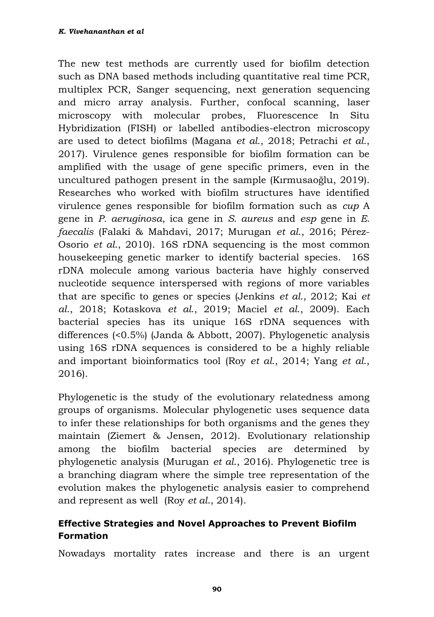The new test methods are currently used for biofilm detection such as DNA based methods including quantitative real time PCR, multiplex PCR, Sanger sequencing, next generation sequencing and micro array analysis. Further, confocal scanning, laser microscopy with molecular probes, Fluorescence In Situ Hybridization (FISH) or labelled antibodies-electron microscopy are used to detect biofilms (Magana *et al*., 2018; Petrachi *et al*., 2017). Virulence genes responsible for biofilm formation can be amplified with the usage of gene specific primers, even in the uncultured pathogen present in the sample (Kırmusaoğlu, 2019). Researches who worked with biofilm structures have identified virulence genes responsible for biofilm formation such as *cup* A gene in *P. aeruginosa*, ica gene in *S. aureus* and *esp* gene in *E. faecalis* (Falaki & Mahdavi, 2017; Murugan *et al*., 2016; Pérez-Osorio *et al*., 2010). 16S rDNA sequencing is the most common housekeeping genetic marker to identify bacterial species. 16S rDNA molecule among various bacteria have highly conserved nucleotide sequence interspersed with regions of more variables that are specific to genes or species (Jenkins *et al*., 2012; Kai *et al*., 2018; Kotaskova *et al*., 2019; Maciel *et al*., 2009). Each bacterial species has its unique 16S rDNA sequences with differences (<0.5%) (Janda & Abbott, 2007). Phylogenetic analysis using 16S rDNA sequences is considered to be a highly reliable and important bioinformatics tool (Roy *et al*., 2014; Yang *et al*., 2016).

Phylogenetic is the study of the evolutionary relatedness among groups of organisms. Molecular phylogenetic uses sequence data to infer these relationships for both organisms and the genes they maintain (Ziemert & Jensen, 2012). Evolutionary relationship among the biofilm bacterial species are determined by phylogenetic analysis (Murugan *et al*., 2016). Phylogenetic tree is a branching diagram where the simple tree representation of the evolution makes the phylogenetic analysis easier to comprehend and represent as well (Roy *et al*., 2014).

### **Effective Strategies and Novel Approaches to Prevent Biofilm Formation**

Nowadays mortality rates increase and there is an urgent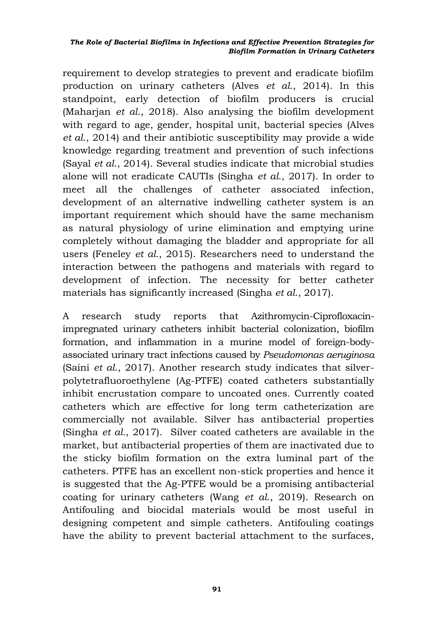requirement to develop strategies to prevent and eradicate biofilm production on urinary catheters (Alves *et al*., 2014). In this standpoint, early detection of biofilm producers is crucial (Maharjan *et al*., 2018). Also analysing the biofilm development with regard to age, gender, hospital unit, bacterial species (Alves *et al*., 2014) and their antibiotic susceptibility may provide a wide knowledge regarding treatment and prevention of such infections (Sayal *et al*., 2014). Several studies indicate that microbial studies alone will not eradicate CAUTIs (Singha *et al*., 2017). In order to meet all the challenges of catheter associated infection, development of an alternative indwelling catheter system is an important requirement which should have the same mechanism as natural physiology of urine elimination and emptying urine completely without damaging the bladder and appropriate for all users (Feneley *et al*., 2015). Researchers need to understand the interaction between the pathogens and materials with regard to development of infection. The necessity for better catheter materials has significantly increased (Singha *et al*., 2017).

A research study reports that Azithromycin-Ciprofloxacinimpregnated urinary catheters inhibit bacterial colonization, biofilm formation, and inflammation in a murine model of foreign-bodyassociated urinary tract infections caused by *Pseudomonas aeruginosa* (Saini *et al*., 2017). Another research study indicates that silverpolytetrafluoroethylene (Ag-PTFE) coated catheters substantially inhibit encrustation compare to uncoated ones. Currently coated catheters which are effective for long term catheterization are commercially not available. Silver has antibacterial properties (Singha *et al*., 2017). Silver coated catheters are available in the market, but antibacterial properties of them are inactivated due to the sticky biofilm formation on the extra luminal part of the catheters. PTFE has an excellent non-stick properties and hence it is suggested that the Ag-PTFE would be a promising antibacterial coating for urinary catheters (Wang *et al*., 2019). Research on Antifouling and biocidal materials would be most useful in designing competent and simple catheters. Antifouling coatings have the ability to prevent bacterial attachment to the surfaces,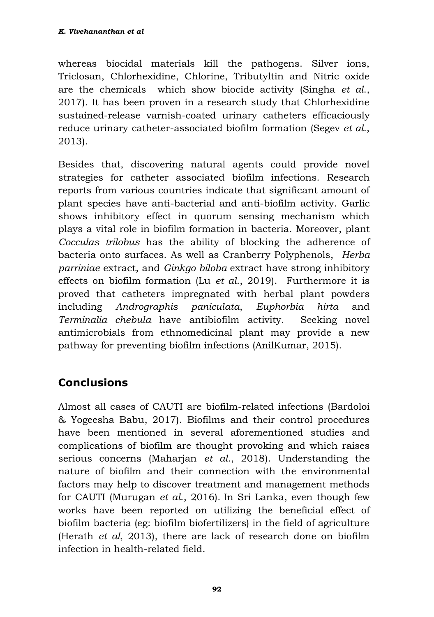whereas biocidal materials kill the pathogens. Silver ions, Triclosan, Chlorhexidine, Chlorine, Tributyltin and Nitric oxide are the chemicals which show biocide activity (Singha *et al*., 2017). It has been proven in a research study that Chlorhexidine sustained-release varnish-coated urinary catheters efficaciously reduce urinary catheter-associated biofilm formation (Segev *et al*., 2013).

Besides that, discovering natural agents could provide novel strategies for catheter associated biofilm infections. Research reports from various countries indicate that significant amount of plant species have anti-bacterial and anti-biofilm activity. Garlic shows inhibitory effect in quorum sensing mechanism which plays a vital role in biofilm formation in bacteria. Moreover, plant *Cocculas trilobus* has the ability of blocking the adherence of bacteria onto surfaces. As well as Cranberry Polyphenols, *Herba parriniae* extract, and *Ginkgo biloba* extract have strong inhibitory effects on biofilm formation (Lu *et al*., 2019). Furthermore it is proved that catheters impregnated with herbal plant powders including *Andrographis paniculata*, *Euphorbia hirta* and *Terminalia chebula* have antibiofilm activity. Seeking novel antimicrobials from ethnomedicinal plant may provide a new pathway for preventing biofilm infections (AnilKumar, 2015).

# **Conclusions**

Almost all cases of CAUTI are biofilm-related infections (Bardoloi & Yogeesha Babu, 2017). Biofilms and their control procedures have been mentioned in several aforementioned studies and complications of biofilm are thought provoking and which raises serious concerns (Maharjan *et al*., 2018). Understanding the nature of biofilm and their connection with the environmental factors may help to discover treatment and management methods for CAUTI (Murugan *et al*., 2016)*.* In Sri Lanka, even though few works have been reported on utilizing the beneficial effect of biofilm bacteria (eg: biofilm biofertilizers) in the field of agriculture (Herath *et al*, 2013), there are lack of research done on biofilm infection in health-related field.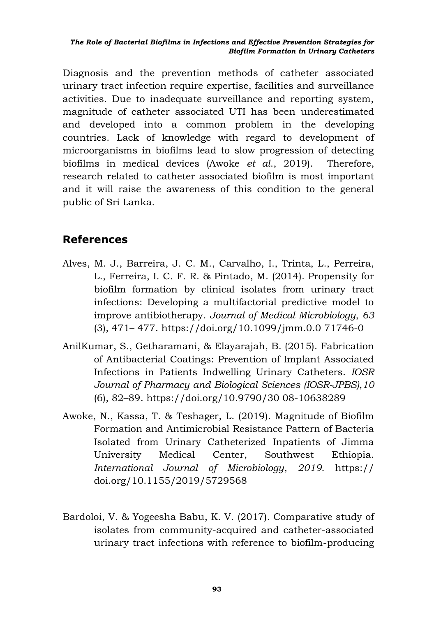Diagnosis and the prevention methods of catheter associated urinary tract infection require expertise, facilities and surveillance activities. Due to inadequate surveillance and reporting system, magnitude of catheter associated UTI has been underestimated and developed into a common problem in the developing countries. Lack of knowledge with regard to development of microorganisms in biofilms lead to slow progression of detecting biofilms in medical devices (Awoke *et al*., 2019). Therefore, research related to catheter associated biofilm is most important and it will raise the awareness of this condition to the general public of Sri Lanka.

## **References**

- Alves, M. J., Barreira, J. C. M., Carvalho, I., Trinta, L., Perreira, L., Ferreira, I. C. F. R. & Pintado, M. (2014). Propensity for biofilm formation by clinical isolates from urinary tract infections: Developing a multifactorial predictive model to improve antibiotherapy. *Journal of Medical Microbiology*, *63*  (3), 471– 477. https://doi.org/10.1099/jmm.0.0 71746-0
- AnilKumar, S., Getharamani, & Elayarajah, B. (2015). Fabrication of Antibacterial Coatings: Prevention of Implant Associated Infections in Patients Indwelling Urinary Catheters. *IOSR Journal of Pharmacy and Biological Sciences (IOSR-JPBS)*,*10*  (6), 82–89. https://doi.org/10.9790/30 08-10638289
- Awoke, N., Kassa, T. & Teshager, L. (2019). Magnitude of Biofilm Formation and Antimicrobial Resistance Pattern of Bacteria Isolated from Urinary Catheterized Inpatients of Jimma University Medical Center, Southwest Ethiopia. *International Journal of Microbiology*, *2019*. https:// doi.org/10.1155/2019/5729568
- Bardoloi, V. & Yogeesha Babu, K. V. (2017). Comparative study of isolates from community-acquired and catheter-associated urinary tract infections with reference to biofilm-producing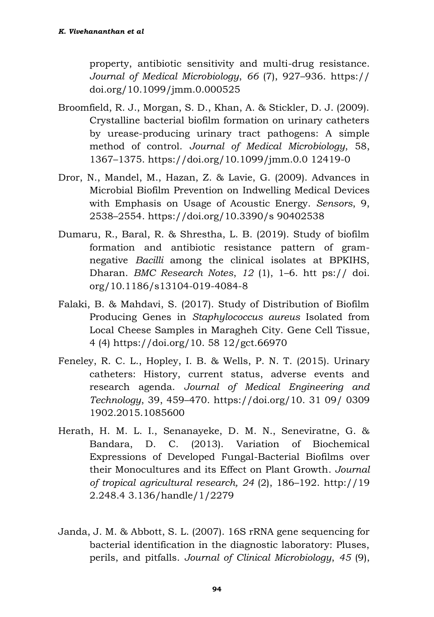property, antibiotic sensitivity and multi-drug resistance. *Journal of Medical Microbiology*, *66* (7), 927–936. https:// doi.org/10.1099/jmm.0.000525

- Broomfield, R. J., Morgan, S. D., Khan, A. & Stickler, D. J. (2009). Crystalline bacterial biofilm formation on urinary catheters by urease-producing urinary tract pathogens: A simple method of control. *Journal of Medical Microbiology*, 58, 1367–1375. https://doi.org/10.1099/jmm.0.0 12419-0
- Dror, N., Mandel, M., Hazan, Z. & Lavie, G. (2009). Advances in Microbial Biofilm Prevention on Indwelling Medical Devices with Emphasis on Usage of Acoustic Energy. *Sensors*, 9, 2538–2554. https://doi.org/10.3390/s 90402538
- Dumaru, R., Baral, R. & Shrestha, L. B. (2019). Study of biofilm formation and antibiotic resistance pattern of gramnegative *Bacilli* among the clinical isolates at BPKIHS, Dharan. *BMC Research Notes*, *12* (1), 1–6. htt ps:// doi. org/10.1186/s13104-019-4084-8
- Falaki, B. & Mahdavi, S. (2017). Study of Distribution of Biofilm Producing Genes in *Staphylococcus aureus* Isolated from Local Cheese Samples in Maragheh City. Gene Cell Tissue, 4 (4) https://doi.org/10. 58 12/gct.66970
- Feneley, R. C. L., Hopley, I. B. & Wells, P. N. T. (2015). Urinary catheters: History, current status, adverse events and research agenda. *Journal of Medical Engineering and Technology*, 39, 459–470. https://doi.org/10. 31 09/ 0309 1902.2015.1085600
- Herath, H. M. L. I., Senanayeke, D. M. N., Seneviratne, G. & Bandara, D. C. (2013). Variation of Biochemical Expressions of Developed Fungal-Bacterial Biofilms over their Monocultures and its Effect on Plant Growth. *Journal of tropical agricultural research, 24* (2), 186–192. http://19 2.248.4 3.136/handle/1/2279
- Janda, J. M. & Abbott, S. L. (2007). 16S rRNA gene sequencing for bacterial identification in the diagnostic laboratory: Pluses, perils, and pitfalls. *Journal of Clinical Microbiology*, *45* (9),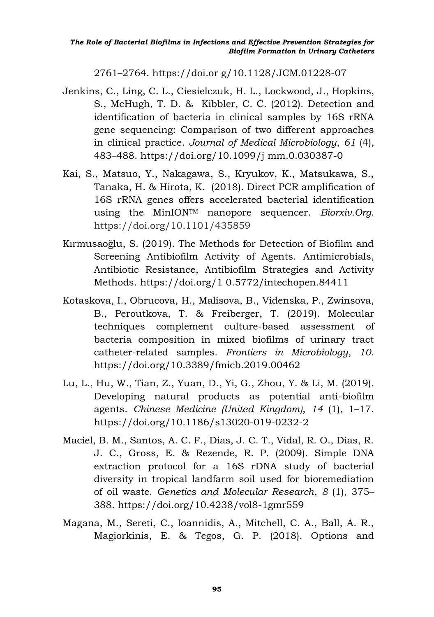2761–2764. https://doi.or g/10.1128/JCM.01228-07

- Jenkins, C., Ling, C. L., Ciesielczuk, H. L., Lockwood, J., Hopkins, S., McHugh, T. D. & Kibbler, C. C. (2012). Detection and identification of bacteria in clinical samples by 16S rRNA gene sequencing: Comparison of two different approaches in clinical practice. *Journal of Medical Microbiology*, *61* (4), 483–488. https://doi.org/10.1099/j mm.0.030387-0
- Kai, S., Matsuo, Y., Nakagawa, S., Kryukov, K., Matsukawa, S., Tanaka, H. & Hirota, K. (2018). Direct PCR amplification of 16S rRNA genes offers accelerated bacterial identification using the MinIONTM nanopore sequencer. *Biorxiv.Org*. https://doi.org/10.1101/435859
- Kırmusaoğlu, S. (2019). The Methods for Detection of Biofilm and Screening Antibiofilm Activity of Agents. Antimicrobials, Antibiotic Resistance, Antibiofilm Strategies and Activity Methods. https://doi.org/1 0.5772/intechopen.84411
- Kotaskova, I., Obrucova, H., Malisova, B., Videnska, P., Zwinsova, B., Peroutkova, T. & Freiberger, T. (2019). Molecular techniques complement culture-based assessment of bacteria composition in mixed biofilms of urinary tract catheter-related samples. *Frontiers in Microbiology*, *10*. https://doi.org/10.3389/fmicb.2019.00462
- Lu, L., Hu, W., Tian, Z., Yuan, D., Yi, G., Zhou, Y. & Li, M. (2019). Developing natural products as potential anti-biofilm agents. *Chinese Medicine (United Kingdom)*, *14* (1), 1–17. https://doi.org/10.1186/s13020-019-0232-2
- Maciel, B. M., Santos, A. C. F., Dias, J. C. T., Vidal, R. O., Dias, R. J. C., Gross, E. & Rezende, R. P. (2009). Simple DNA extraction protocol for a 16S rDNA study of bacterial diversity in tropical landfarm soil used for bioremediation of oil waste. *Genetics and Molecular Research*, *8* (1), 375– 388. https://doi.org/10.4238/vol8-1gmr559
- Magana, M., Sereti, C., Ioannidis, A., Mitchell, C. A., Ball, A. R., Magiorkinis, E. & Tegos, G. P. (2018). Options and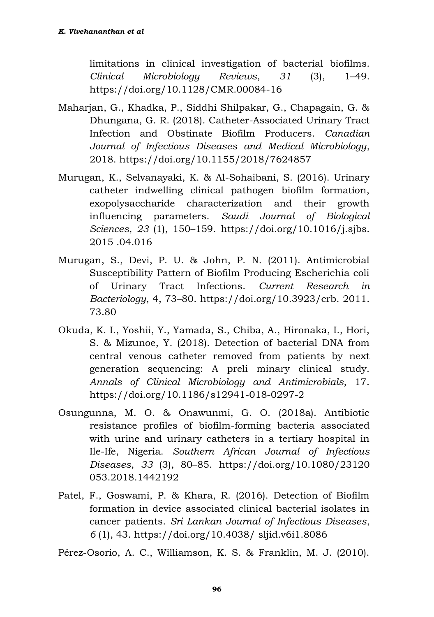limitations in clinical investigation of bacterial biofilms. *Clinical Microbiology Reviews*, *31* (3), 1–49. https://doi.org/10.1128/CMR.00084-16

- Maharjan, G., Khadka, P., Siddhi Shilpakar, G., Chapagain, G. & Dhungana, G. R. (2018). Catheter-Associated Urinary Tract Infection and Obstinate Biofilm Producers. *Canadian Journal of Infectious Diseases and Medical Microbiology*, 2018. https://doi.org/10.1155/2018/7624857
- Murugan, K., Selvanayaki, K. & Al-Sohaibani, S. (2016). Urinary catheter indwelling clinical pathogen biofilm formation, exopolysaccharide characterization and their growth influencing parameters. *Saudi Journal of Biological Sciences*, *23* (1), 150–159. https://doi.org/10.1016/j.sjbs. 2015 .04.016
- Murugan, S., Devi, P. U. & John, P. N. (2011). Antimicrobial Susceptibility Pattern of Biofilm Producing Escherichia coli of Urinary Tract Infections. *Current Research in Bacteriology*, 4, 73–80. https://doi.org/10.3923/crb. 2011. 73.80
- Okuda, K. I., Yoshii, Y., Yamada, S., Chiba, A., Hironaka, I., Hori, S. & Mizunoe, Y. (2018). Detection of bacterial DNA from central venous catheter removed from patients by next generation sequencing: A preli minary clinical study. *Annals of Clinical Microbiology and Antimicrobials*, 17. https://doi.org/10.1186/s12941-018-0297-2
- Osungunna, M. O. & Onawunmi, G. O. (2018a). Antibiotic resistance profiles of biofilm-forming bacteria associated with urine and urinary catheters in a tertiary hospital in Ile-Ife, Nigeria. *Southern African Journal of Infectious Diseases*, *33* (3), 80–85. https://doi.org/10.1080/23120 053.2018.1442192
- Patel, F., Goswami, P. & Khara, R. (2016). Detection of Biofilm formation in device associated clinical bacterial isolates in cancer patients. *Sri Lankan Journal of Infectious Diseases*, *6* (1), 43. https://doi.org/10.4038/ sljid.v6i1.8086

Pérez-Osorio, A. C., Williamson, K. S. & Franklin, M. J. (2010).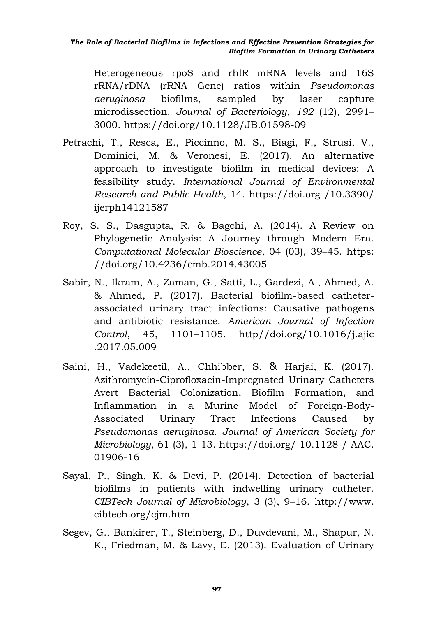Heterogeneous rpoS and rhlR mRNA levels and 16S rRNA/rDNA (rRNA Gene) ratios within *Pseudomonas aeruginosa* biofilms, sampled by laser capture microdissection. *Journal of Bacteriology*, *192* (12), 2991– 3000. https://doi.org/10.1128/JB.01598-09

- Petrachi, T., Resca, E., Piccinno, M. S., Biagi, F., Strusi, V., Dominici, M. & Veronesi, E. (2017). An alternative approach to investigate biofilm in medical devices: A feasibility study. *International Journal of Environmental Research and Public Health*, 14. https://doi.org /10.3390/ ijerph14121587
- Roy, S. S., Dasgupta, R. & Bagchi, A. (2014). A Review on Phylogenetic Analysis: A Journey through Modern Era. *Computational Molecular Bioscience*, 04 (03), 39–45. https: //doi.org/10.4236/cmb.2014.43005
- Sabir, N., Ikram, A., Zaman, G., Satti, L., Gardezi, A., Ahmed, A. & Ahmed, P. (2017). Bacterial biofilm-based catheterassociated urinary tract infections: Causative pathogens and antibiotic resistance. *American Journal of Infection Control*, 45, 1101–1105. http//doi.org/10.1016/j.ajic .2017.05.009
- Saini, H., Vadekeetil, A., Chhibber, S. & Harjai, K. (2017). Azithromycin-Ciprofloxacin-Impregnated Urinary Catheters Avert Bacterial Colonization, Biofilm Formation, and Inflammation in a Murine Model of Foreign-Body-Associated Urinary Tract Infections Caused by *Pseudomonas aeruginosa*. *Journal of American Society for Microbiology*, 61 (3), 1-13. https://doi.org/ 10.1128 / AAC. 01906-16
- Sayal, P., Singh, K. & Devi, P. (2014). Detection of bacterial biofilms in patients with indwelling urinary catheter. *CIBTech Journal of Microbiology*, 3 (3), 9–16. http://www. cibtech.org/cjm.htm
- Segev, G., Bankirer, T., Steinberg, D., Duvdevani, M., Shapur, N. K., Friedman, M. & Lavy, E. (2013). Evaluation of Urinary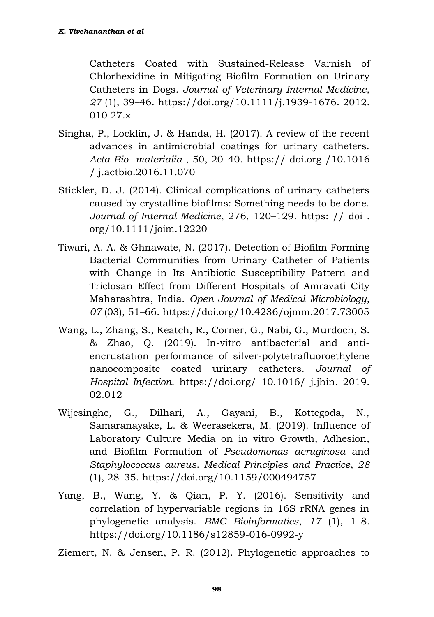Catheters Coated with Sustained-Release Varnish of Chlorhexidine in Mitigating Biofilm Formation on Urinary Catheters in Dogs. *Journal of Veterinary Internal Medicine*, *27* (1), 39–46. https://doi.org/10.1111/j.1939-1676. 2012. 010 27.x

- Singha, P., Locklin, J. & Handa, H. (2017). A review of the recent advances in antimicrobial coatings for urinary catheters. *Acta Bio materialia* , 50, 20–40. https:// doi.org /10.1016 / j.actbio.2016.11.070
- Stickler, D. J. (2014). Clinical complications of urinary catheters caused by crystalline biofilms: Something needs to be done. *Journal of Internal Medicine*, 276, 120–129. https: // doi . org/10.1111/joim.12220
- Tiwari, A. A. & Ghnawate, N. (2017). Detection of Biofilm Forming Bacterial Communities from Urinary Catheter of Patients with Change in Its Antibiotic Susceptibility Pattern and Triclosan Effect from Different Hospitals of Amravati City Maharashtra, India. *Open Journal of Medical Microbiology*, *07* (03), 51–66. https://doi.org/10.4236/ojmm.2017.73005
- Wang, L., Zhang, S., Keatch, R., Corner, G., Nabi, G., Murdoch, S. & Zhao, Q. (2019). In-vitro antibacterial and antiencrustation performance of silver-polytetrafluoroethylene nanocomposite coated urinary catheters. *Journal of Hospital Infection*. https://doi.org/ 10.1016/ j.jhin. 2019. 02.012
- Wijesinghe, G., Dilhari, A., Gayani, B., Kottegoda, N., Samaranayake, L. & Weerasekera, M. (2019). Influence of Laboratory Culture Media on in vitro Growth, Adhesion, and Biofilm Formation of *Pseudomonas aeruginosa* and *Staphylococcus aureus*. *Medical Principles and Practice*, *28*  (1), 28–35. https://doi.org/10.1159/000494757
- Yang, B., Wang, Y. & Qian, P. Y. (2016). Sensitivity and correlation of hypervariable regions in 16S rRNA genes in phylogenetic analysis. *BMC Bioinformatics*, *17* (1), 1–8. https://doi.org/10.1186/s12859-016-0992-y

Ziemert, N. & Jensen, P. R. (2012). Phylogenetic approaches to